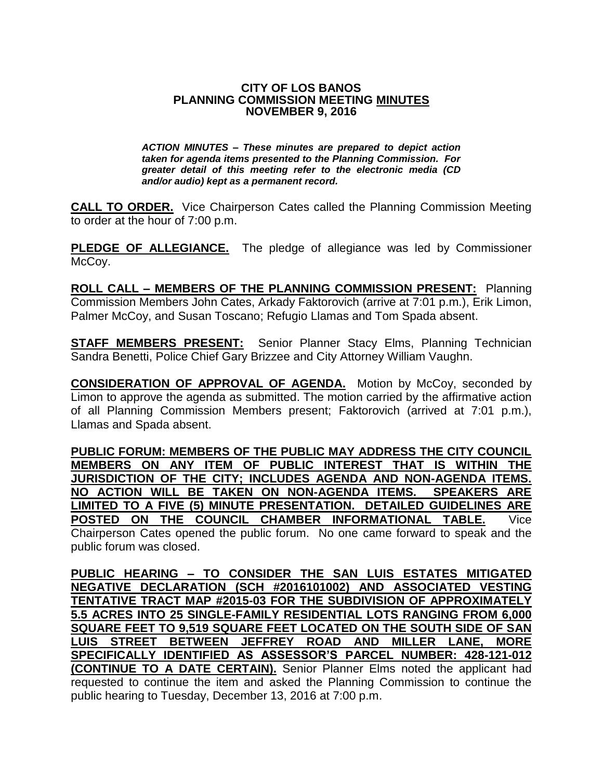#### **CITY OF LOS BANOS PLANNING COMMISSION MEETING MINUTES NOVEMBER 9, 2016**

*ACTION MINUTES – These minutes are prepared to depict action taken for agenda items presented to the Planning Commission. For greater detail of this meeting refer to the electronic media (CD and/or audio) kept as a permanent record.*

**CALL TO ORDER.** Vice Chairperson Cates called the Planning Commission Meeting to order at the hour of 7:00 p.m.

**PLEDGE OF ALLEGIANCE.** The pledge of allegiance was led by Commissioner McCoy.

**ROLL CALL – MEMBERS OF THE PLANNING COMMISSION PRESENT:** Planning Commission Members John Cates, Arkady Faktorovich (arrive at 7:01 p.m.), Erik Limon, Palmer McCoy, and Susan Toscano; Refugio Llamas and Tom Spada absent.

**STAFF MEMBERS PRESENT:** Senior Planner Stacy Elms, Planning Technician Sandra Benetti, Police Chief Gary Brizzee and City Attorney William Vaughn.

**CONSIDERATION OF APPROVAL OF AGENDA.** Motion by McCoy, seconded by Limon to approve the agenda as submitted. The motion carried by the affirmative action of all Planning Commission Members present; Faktorovich (arrived at 7:01 p.m.), Llamas and Spada absent.

**PUBLIC FORUM: MEMBERS OF THE PUBLIC MAY ADDRESS THE CITY COUNCIL MEMBERS ON ANY ITEM OF PUBLIC INTEREST THAT IS WITHIN THE JURISDICTION OF THE CITY; INCLUDES AGENDA AND NON-AGENDA ITEMS. NO ACTION WILL BE TAKEN ON NON-AGENDA ITEMS. SPEAKERS ARE LIMITED TO A FIVE (5) MINUTE PRESENTATION. DETAILED GUIDELINES ARE POSTED ON THE COUNCIL CHAMBER INFORMATIONAL TABLE.** Vice Chairperson Cates opened the public forum. No one came forward to speak and the

public forum was closed.

**PUBLIC HEARING – TO CONSIDER THE SAN LUIS ESTATES MITIGATED NEGATIVE DECLARATION (SCH #2016101002) AND ASSOCIATED VESTING TENTATIVE TRACT MAP #2015-03 FOR THE SUBDIVISION OF APPROXIMATELY 5.5 ACRES INTO 25 SINGLE-FAMILY RESIDENTIAL LOTS RANGING FROM 6,000 SQUARE FEET TO 9,519 SQUARE FEET LOCATED ON THE SOUTH SIDE OF SAN LUIS STREET BETWEEN JEFFREY ROAD AND MILLER LANE, MORE SPECIFICALLY IDENTIFIED AS ASSESSOR'S PARCEL NUMBER: 428-121-012 (CONTINUE TO A DATE CERTAIN).** Senior Planner Elms noted the applicant had requested to continue the item and asked the Planning Commission to continue the public hearing to Tuesday, December 13, 2016 at 7:00 p.m.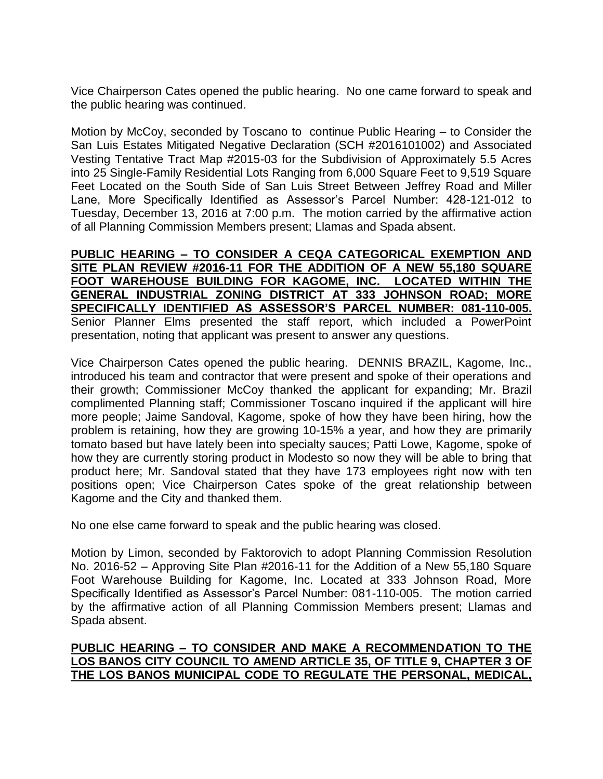Vice Chairperson Cates opened the public hearing. No one came forward to speak and the public hearing was continued.

Motion by McCoy, seconded by Toscano to continue Public Hearing – to Consider the San Luis Estates Mitigated Negative Declaration (SCH #2016101002) and Associated Vesting Tentative Tract Map #2015-03 for the Subdivision of Approximately 5.5 Acres into 25 Single-Family Residential Lots Ranging from 6,000 Square Feet to 9,519 Square Feet Located on the South Side of San Luis Street Between Jeffrey Road and Miller Lane, More Specifically Identified as Assessor's Parcel Number: 428-121-012 to Tuesday, December 13, 2016 at 7:00 p.m. The motion carried by the affirmative action of all Planning Commission Members present; Llamas and Spada absent.

**PUBLIC HEARING – TO CONSIDER A CEQA CATEGORICAL EXEMPTION AND SITE PLAN REVIEW #2016-11 FOR THE ADDITION OF A NEW 55,180 SQUARE FOOT WAREHOUSE BUILDING FOR KAGOME, INC. LOCATED WITHIN THE GENERAL INDUSTRIAL ZONING DISTRICT AT 333 JOHNSON ROAD; MORE SPECIFICALLY IDENTIFIED AS ASSESSOR'S PARCEL NUMBER: 081-110-005.** Senior Planner Elms presented the staff report, which included a PowerPoint presentation, noting that applicant was present to answer any questions.

Vice Chairperson Cates opened the public hearing. DENNIS BRAZIL, Kagome, Inc., introduced his team and contractor that were present and spoke of their operations and their growth; Commissioner McCoy thanked the applicant for expanding; Mr. Brazil complimented Planning staff; Commissioner Toscano inquired if the applicant will hire more people; Jaime Sandoval, Kagome, spoke of how they have been hiring, how the problem is retaining, how they are growing 10-15% a year, and how they are primarily tomato based but have lately been into specialty sauces; Patti Lowe, Kagome, spoke of how they are currently storing product in Modesto so now they will be able to bring that product here; Mr. Sandoval stated that they have 173 employees right now with ten positions open; Vice Chairperson Cates spoke of the great relationship between Kagome and the City and thanked them.

No one else came forward to speak and the public hearing was closed.

Motion by Limon, seconded by Faktorovich to adopt Planning Commission Resolution No. 2016-52 – Approving Site Plan #2016-11 for the Addition of a New 55,180 Square Foot Warehouse Building for Kagome, Inc. Located at 333 Johnson Road, More Specifically Identified as Assessor's Parcel Number: 081-110-005. The motion carried by the affirmative action of all Planning Commission Members present; Llamas and Spada absent.

# **PUBLIC HEARING – TO CONSIDER AND MAKE A RECOMMENDATION TO THE LOS BANOS CITY COUNCIL TO AMEND ARTICLE 35, OF TITLE 9, CHAPTER 3 OF THE LOS BANOS MUNICIPAL CODE TO REGULATE THE PERSONAL, MEDICAL,**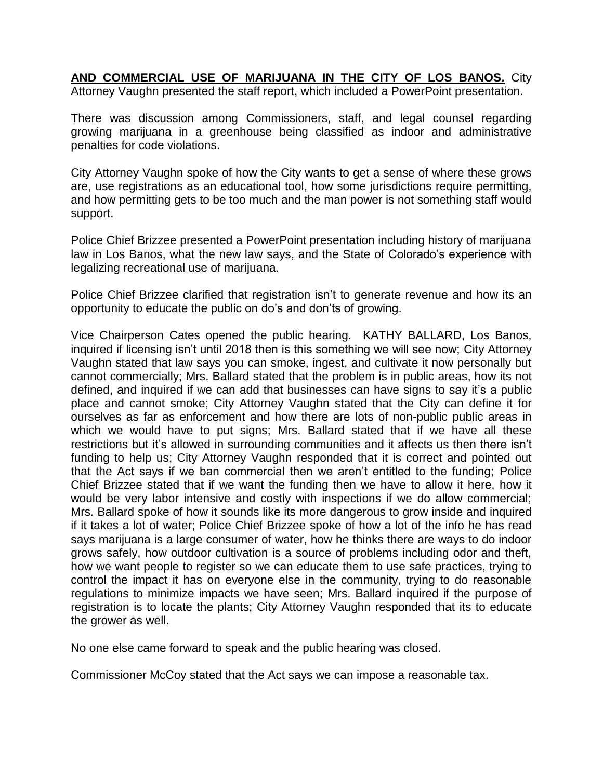**AND COMMERCIAL USE OF MARIJUANA IN THE CITY OF LOS BANOS.** City Attorney Vaughn presented the staff report, which included a PowerPoint presentation.

There was discussion among Commissioners, staff, and legal counsel regarding growing marijuana in a greenhouse being classified as indoor and administrative penalties for code violations.

City Attorney Vaughn spoke of how the City wants to get a sense of where these grows are, use registrations as an educational tool, how some jurisdictions require permitting, and how permitting gets to be too much and the man power is not something staff would support.

Police Chief Brizzee presented a PowerPoint presentation including history of marijuana law in Los Banos, what the new law says, and the State of Colorado's experience with legalizing recreational use of marijuana.

Police Chief Brizzee clarified that registration isn't to generate revenue and how its an opportunity to educate the public on do's and don'ts of growing.

Vice Chairperson Cates opened the public hearing. KATHY BALLARD, Los Banos, inquired if licensing isn't until 2018 then is this something we will see now; City Attorney Vaughn stated that law says you can smoke, ingest, and cultivate it now personally but cannot commercially; Mrs. Ballard stated that the problem is in public areas, how its not defined, and inquired if we can add that businesses can have signs to say it's a public place and cannot smoke; City Attorney Vaughn stated that the City can define it for ourselves as far as enforcement and how there are lots of non-public public areas in which we would have to put signs; Mrs. Ballard stated that if we have all these restrictions but it's allowed in surrounding communities and it affects us then there isn't funding to help us; City Attorney Vaughn responded that it is correct and pointed out that the Act says if we ban commercial then we aren't entitled to the funding; Police Chief Brizzee stated that if we want the funding then we have to allow it here, how it would be very labor intensive and costly with inspections if we do allow commercial; Mrs. Ballard spoke of how it sounds like its more dangerous to grow inside and inquired if it takes a lot of water; Police Chief Brizzee spoke of how a lot of the info he has read says marijuana is a large consumer of water, how he thinks there are ways to do indoor grows safely, how outdoor cultivation is a source of problems including odor and theft, how we want people to register so we can educate them to use safe practices, trying to control the impact it has on everyone else in the community, trying to do reasonable regulations to minimize impacts we have seen; Mrs. Ballard inquired if the purpose of registration is to locate the plants; City Attorney Vaughn responded that its to educate the grower as well.

No one else came forward to speak and the public hearing was closed.

Commissioner McCoy stated that the Act says we can impose a reasonable tax.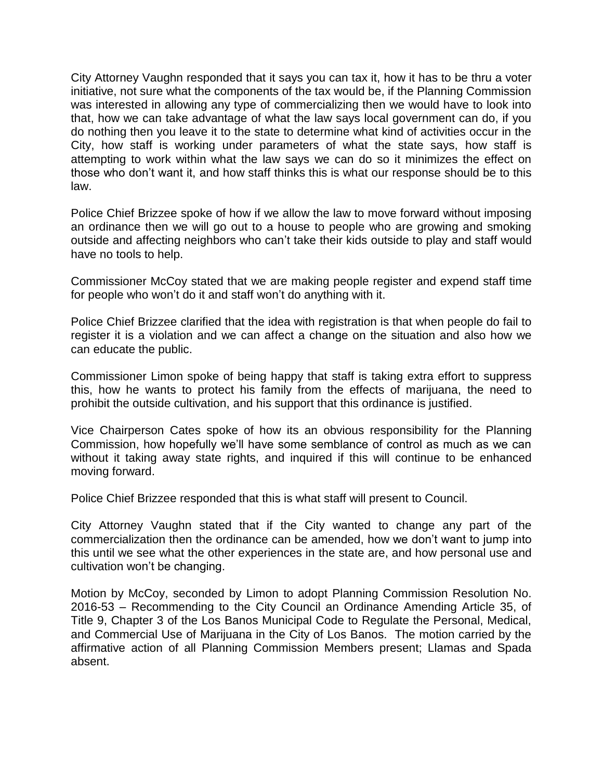City Attorney Vaughn responded that it says you can tax it, how it has to be thru a voter initiative, not sure what the components of the tax would be, if the Planning Commission was interested in allowing any type of commercializing then we would have to look into that, how we can take advantage of what the law says local government can do, if you do nothing then you leave it to the state to determine what kind of activities occur in the City, how staff is working under parameters of what the state says, how staff is attempting to work within what the law says we can do so it minimizes the effect on those who don't want it, and how staff thinks this is what our response should be to this law.

Police Chief Brizzee spoke of how if we allow the law to move forward without imposing an ordinance then we will go out to a house to people who are growing and smoking outside and affecting neighbors who can't take their kids outside to play and staff would have no tools to help.

Commissioner McCoy stated that we are making people register and expend staff time for people who won't do it and staff won't do anything with it.

Police Chief Brizzee clarified that the idea with registration is that when people do fail to register it is a violation and we can affect a change on the situation and also how we can educate the public.

Commissioner Limon spoke of being happy that staff is taking extra effort to suppress this, how he wants to protect his family from the effects of marijuana, the need to prohibit the outside cultivation, and his support that this ordinance is justified.

Vice Chairperson Cates spoke of how its an obvious responsibility for the Planning Commission, how hopefully we'll have some semblance of control as much as we can without it taking away state rights, and inquired if this will continue to be enhanced moving forward.

Police Chief Brizzee responded that this is what staff will present to Council.

City Attorney Vaughn stated that if the City wanted to change any part of the commercialization then the ordinance can be amended, how we don't want to jump into this until we see what the other experiences in the state are, and how personal use and cultivation won't be changing.

Motion by McCoy, seconded by Limon to adopt Planning Commission Resolution No. 2016-53 – Recommending to the City Council an Ordinance Amending Article 35, of Title 9, Chapter 3 of the Los Banos Municipal Code to Regulate the Personal, Medical, and Commercial Use of Marijuana in the City of Los Banos. The motion carried by the affirmative action of all Planning Commission Members present; Llamas and Spada absent.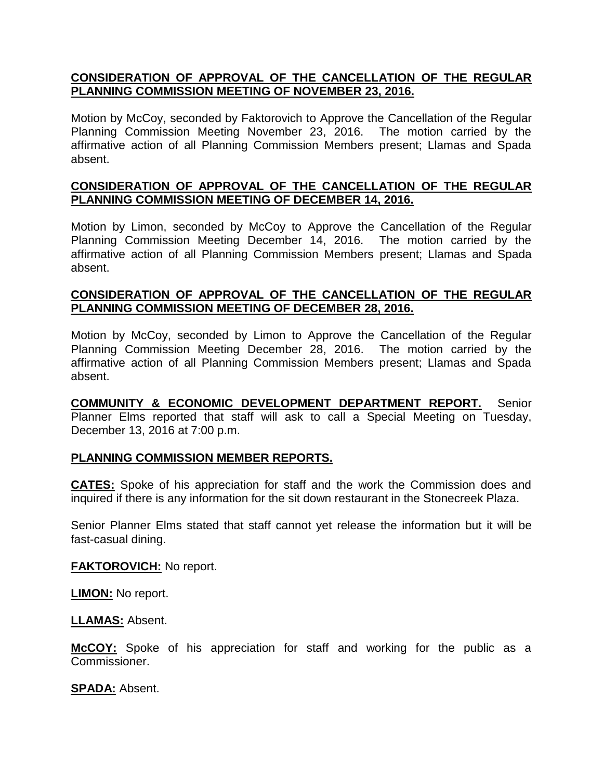# **CONSIDERATION OF APPROVAL OF THE CANCELLATION OF THE REGULAR PLANNING COMMISSION MEETING OF NOVEMBER 23, 2016.**

Motion by McCoy, seconded by Faktorovich to Approve the Cancellation of the Regular Planning Commission Meeting November 23, 2016. The motion carried by the affirmative action of all Planning Commission Members present; Llamas and Spada absent.

## **CONSIDERATION OF APPROVAL OF THE CANCELLATION OF THE REGULAR PLANNING COMMISSION MEETING OF DECEMBER 14, 2016.**

Motion by Limon, seconded by McCoy to Approve the Cancellation of the Regular Planning Commission Meeting December 14, 2016. The motion carried by the affirmative action of all Planning Commission Members present; Llamas and Spada absent.

## **CONSIDERATION OF APPROVAL OF THE CANCELLATION OF THE REGULAR PLANNING COMMISSION MEETING OF DECEMBER 28, 2016.**

Motion by McCoy, seconded by Limon to Approve the Cancellation of the Regular Planning Commission Meeting December 28, 2016. The motion carried by the affirmative action of all Planning Commission Members present; Llamas and Spada absent.

**COMMUNITY & ECONOMIC DEVELOPMENT DEPARTMENT REPORT.** Senior Planner Elms reported that staff will ask to call a Special Meeting on Tuesday, December 13, 2016 at 7:00 p.m.

## **PLANNING COMMISSION MEMBER REPORTS.**

**CATES:** Spoke of his appreciation for staff and the work the Commission does and inquired if there is any information for the sit down restaurant in the Stonecreek Plaza.

Senior Planner Elms stated that staff cannot yet release the information but it will be fast-casual dining.

**FAKTOROVICH:** No report.

**LIMON:** No report.

**LLAMAS:** Absent.

**McCOY:** Spoke of his appreciation for staff and working for the public as a Commissioner.

**SPADA:** Absent.